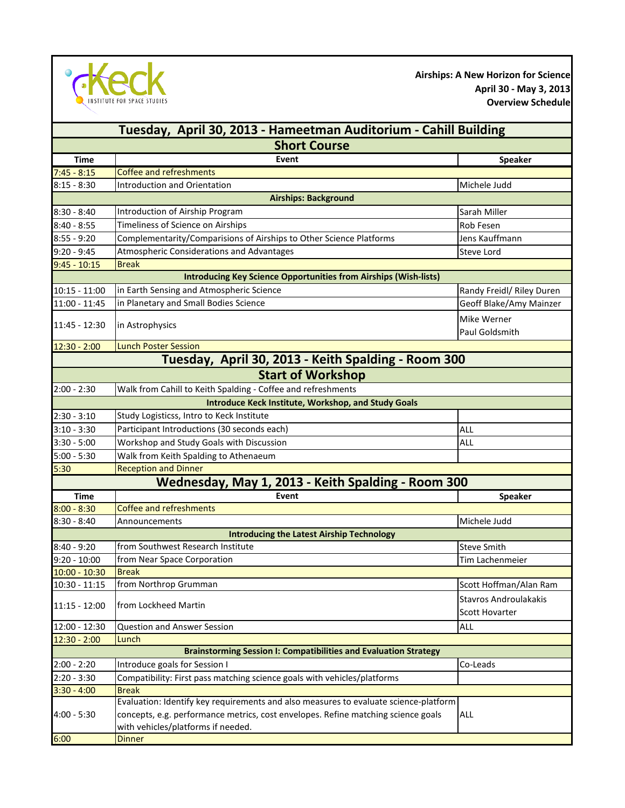

**Airships: A New Horizon for Science April 30 - May 3, 2013 Overview Schedule**

| Tuesday, April 30, 2013 - Hameetman Auditorium - Cahill Building        |                                                                                      |                              |  |
|-------------------------------------------------------------------------|--------------------------------------------------------------------------------------|------------------------------|--|
| <b>Short Course</b>                                                     |                                                                                      |                              |  |
| <b>Time</b>                                                             | Event                                                                                | Speaker                      |  |
| $7:45 - 8:15$                                                           | Coffee and refreshments                                                              |                              |  |
| $8:15 - 8:30$                                                           | Introduction and Orientation                                                         | Michele Judd                 |  |
| <b>Airships: Background</b>                                             |                                                                                      |                              |  |
| $8:30 - 8:40$                                                           | Introduction of Airship Program                                                      | Sarah Miller                 |  |
| $8:40 - 8:55$                                                           | Timeliness of Science on Airships                                                    | Rob Fesen                    |  |
| $8:55 - 9:20$                                                           | Complementarity/Comparisions of Airships to Other Science Platforms                  | Jens Kauffmann               |  |
| $9:20 - 9:45$                                                           | Atmospheric Considerations and Advantages                                            | <b>Steve Lord</b>            |  |
| $9:45 - 10:15$                                                          | <b>Break</b>                                                                         |                              |  |
| <b>Introducing Key Science Opportunities from Airships (Wish-lists)</b> |                                                                                      |                              |  |
| $10:15 - 11:00$                                                         | in Earth Sensing and Atmospheric Science                                             | Randy Freidl/ Riley Duren    |  |
| 11:00 - 11:45                                                           | in Planetary and Small Bodies Science                                                | Geoff Blake/Amy Mainzer      |  |
|                                                                         |                                                                                      | Mike Werner                  |  |
| 11:45 - 12:30                                                           | in Astrophysics                                                                      | Paul Goldsmith               |  |
| $12:30 - 2:00$                                                          | <b>Lunch Poster Session</b>                                                          |                              |  |
|                                                                         | Tuesday, April 30, 2013 - Keith Spalding - Room 300                                  |                              |  |
|                                                                         | <b>Start of Workshop</b>                                                             |                              |  |
| $2:00 - 2:30$                                                           | Walk from Cahill to Keith Spalding - Coffee and refreshments                         |                              |  |
|                                                                         | <b>Introduce Keck Institute, Workshop, and Study Goals</b>                           |                              |  |
| $2:30 - 3:10$                                                           | Study Logisticss, Intro to Keck Institute                                            |                              |  |
| $3:10 - 3:30$                                                           | Participant Introductions (30 seconds each)<br><b>ALL</b>                            |                              |  |
| $3:30 - 5:00$                                                           | Workshop and Study Goals with Discussion                                             | <b>ALL</b>                   |  |
| $5:00 - 5:30$                                                           | Walk from Keith Spalding to Athenaeum                                                |                              |  |
| 5:30                                                                    | <b>Reception and Dinner</b>                                                          |                              |  |
|                                                                         | Wednesday, May 1, 2013 - Keith Spalding - Room 300                                   |                              |  |
| <b>Time</b>                                                             | Event                                                                                | <b>Speaker</b>               |  |
| $8:00 - 8:30$                                                           | <b>Coffee and refreshments</b>                                                       |                              |  |
| $8:30 - 8:40$                                                           | Announcements                                                                        | Michele Judd                 |  |
| <b>Introducing the Latest Airship Technology</b>                        |                                                                                      |                              |  |
| $8:40 - 9:20$                                                           | from Southwest Research Institute                                                    | <b>Steve Smith</b>           |  |
| $9:20 - 10:00$                                                          | from Near Space Corporation                                                          | <b>Tim Lachenmeier</b>       |  |
| $10:00 - 10:30$                                                         | <b>Break</b>                                                                         |                              |  |
| $10:30 - 11:15$                                                         | from Northrop Grumman                                                                | Scott Hoffman/Alan Ram       |  |
|                                                                         |                                                                                      | <b>Stavros Androulakakis</b> |  |
| $11:15 - 12:00$                                                         | from Lockheed Martin                                                                 | <b>Scott Hovarter</b>        |  |
| 12:00 - 12:30                                                           | <b>Question and Answer Session</b>                                                   | ALL                          |  |
| $12:30 - 2:00$                                                          | Lunch                                                                                |                              |  |
|                                                                         | <b>Brainstorming Session I: Compatibilities and Evaluation Strategy</b>              |                              |  |
| $2:00 - 2:20$                                                           | Introduce goals for Session I                                                        | Co-Leads                     |  |
| $2:20 - 3:30$                                                           | Compatibility: First pass matching science goals with vehicles/platforms             |                              |  |
| $3:30 - 4:00$                                                           | <b>Break</b>                                                                         |                              |  |
|                                                                         | Evaluation: Identify key requirements and also measures to evaluate science-platform |                              |  |
| $4:00 - 5:30$                                                           | concepts, e.g. performance metrics, cost envelopes. Refine matching science goals    | ALL                          |  |
|                                                                         | with vehicles/platforms if needed.                                                   |                              |  |
| 6:00                                                                    | <b>Dinner</b>                                                                        |                              |  |